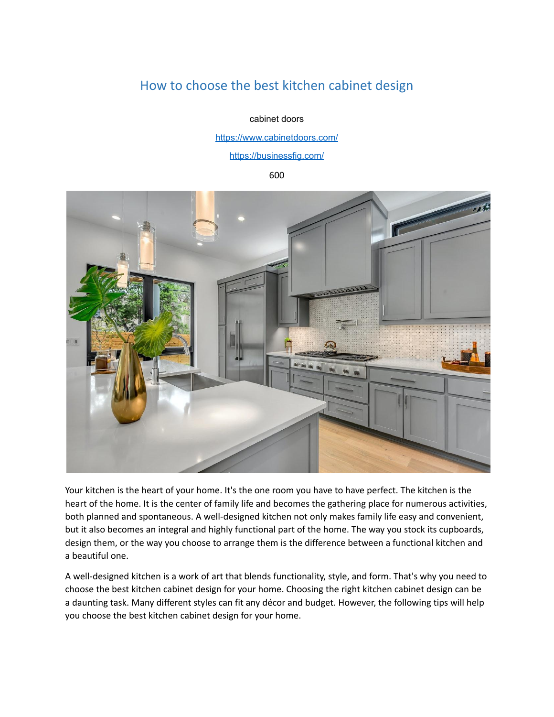# How to choose the best kitchen cabinet design

cabinet doors

<https://www.cabinetdoors.com/>

<https://businessfig.com/>

600



Your kitchen is the heart of your home. It's the one room you have to have perfect. The kitchen is the heart of the home. It is the center of family life and becomes the gathering place for numerous activities, both planned and spontaneous. A well-designed kitchen not only makes family life easy and convenient, but it also becomes an integral and highly functional part of the home. The way you stock its cupboards, design them, or the way you choose to arrange them is the difference between a functional kitchen and a beautiful one.

A well-designed kitchen is a work of art that blends functionality, style, and form. That's why you need to choose the best kitchen cabinet design for your home. Choosing the right kitchen cabinet design can be a daunting task. Many different styles can fit any décor and budget. However, the following tips will help you choose the best kitchen cabinet design for your home.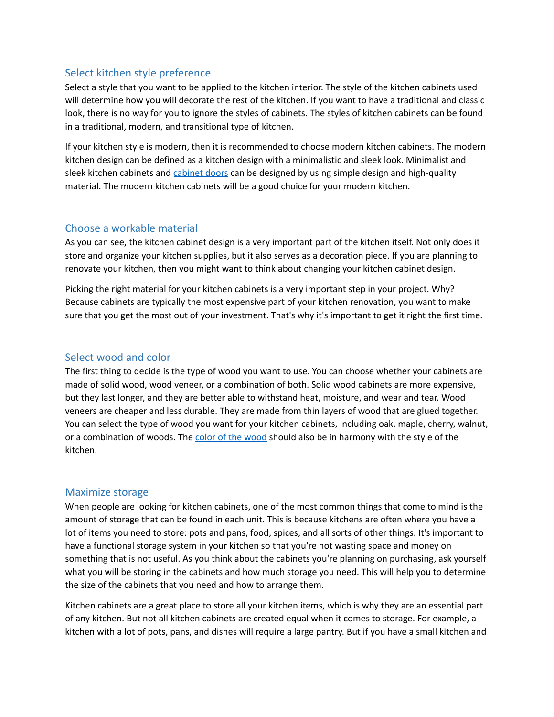### Select kitchen style preference

Select a style that you want to be applied to the kitchen interior. The style of the kitchen cabinets used will determine how you will decorate the rest of the kitchen. If you want to have a traditional and classic look, there is no way for you to ignore the styles of cabinets. The styles of kitchen cabinets can be found in a traditional, modern, and transitional type of kitchen.

If your kitchen style is modern, then it is recommended to choose modern kitchen cabinets. The modern kitchen design can be defined as a kitchen design with a minimalistic and sleek look. Minimalist and sleek kitchen [cabinet](https://www.cabinetdoors.com/)s and cabinet doors can be designed by using simple design and high-quality material. The modern kitchen cabinets will be a good choice for your modern kitchen.

#### Choose a workable material

As you can see, the kitchen cabinet design is a very important part of the kitchen itself. Not only does it store and organize your kitchen supplies, but it also serves as a decoration piece. If you are planning to renovate your kitchen, then you might want to think about changing your kitchen cabinet design.

Picking the right material for your kitchen cabinets is a very important step in your project. Why? Because cabinets are typically the most expensive part of your kitchen renovation, you want to make sure that you get the most out of your investment. That's why it's important to get it right the first time.

#### Select wood and color

The first thing to decide is the type of wood you want to use. You can choose whether your cabinets are made of solid wood, wood veneer, or a combination of both. Solid wood cabinets are more expensive, but they last longer, and they are better able to withstand heat, moisture, and wear and tear. Wood veneers are cheaper and less durable. They are made from thin layers of wood that are glued together. You can select the type of wood you want for your kitchen cabinets, including oak, maple, cherry, walnut, or a combination of [wood](https://www.houzz.com/magazine/8-stunning-stain-colors-for-kitchen-cabinets-stsetivw-vs~7796662)s. The color of the wood should also be in harmony with the style of the kitchen.

#### Maximize storage

When people are looking for kitchen cabinets, one of the most common things that come to mind is the amount of storage that can be found in each unit. This is because kitchens are often where you have a lot of items you need to store: pots and pans, food, spices, and all sorts of other things. It's important to have a functional storage system in your kitchen so that you're not wasting space and money on something that is not useful. As you think about the cabinets you're planning on purchasing, ask yourself what you will be storing in the cabinets and how much storage you need. This will help you to determine the size of the cabinets that you need and how to arrange them.

Kitchen cabinets are a great place to store all your kitchen items, which is why they are an essential part of any kitchen. But not all kitchen cabinets are created equal when it comes to storage. For example, a kitchen with a lot of pots, pans, and dishes will require a large pantry. But if you have a small kitchen and